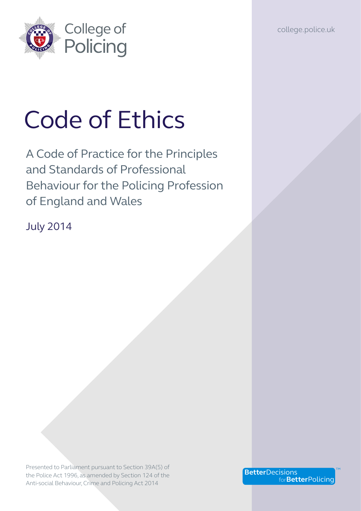college.police.uk



# Code of Ethics

A Code of Practice for the Principles and Standards of Professional Behaviour for the Policing Profession of England and Wales

July 2014

Presented to Parliament pursuant to Section 39A(5) of the Police Act 1996, as amended by Section 124 of the Anti-social Behaviour, Crime and Policing Act 2014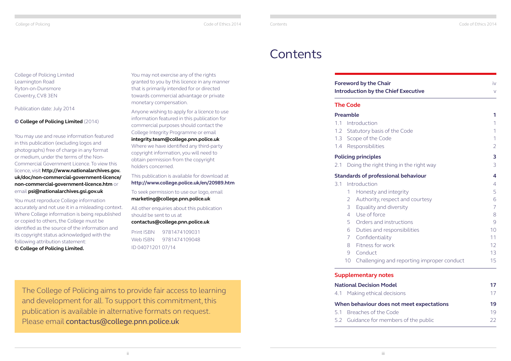College of Policing Code of Ethics 2014

# **Contents**

### **Foreword by the Cha Introduction by the G**

| ir<br><b>Chief Executive</b>   | iv<br>$\vee$   |
|--------------------------------|----------------|
|                                |                |
|                                | 1              |
|                                | 1              |
| of the Code                    | 1              |
| de                             | 1              |
|                                | $\overline{2}$ |
|                                | 3              |
| thing in the right way         | 3              |
| ional behaviour                | 4              |
|                                | $\overline{4}$ |
| I integrity                    | 5              |
| spect and courtesy             | 6              |
| diversity                      | $\overline{7}$ |
|                                | 8              |
| nstructions                    | 9              |
| esponsibilities                | 10             |
| ity                            | 11             |
| ork/                           | 12             |
|                                | 13             |
| and reporting improper conduct | 15             |
| tes                            |                |
| odel                           | 17             |
| lecisions                      | 17             |
| es not meet expectations       | 19             |
| Code                           | 19             |
| embers of the public           | 22             |

- [1.1 Introduction](#page-3-0) 1
- 1.2 Statutory basis of
- [1.3 Scope of the Code](#page-3-2)
- [1.4 Responsibilities](#page-3-3)

# **The Code**

#### **[Preamble](#page-3-0) 1**

### **[Policing principles](#page-4-0) 3**

2.1 Doing the right t

### **Standards of profess**

- [3.1 Introduction](#page-4-0)
	- 1 Honesty and
	- 2 Authority, res
	- 3 Equality and 4 [Use of force](#page-6-0)
	- 5 [Orders and instructions](#page-7-0) 5
	- $6$  Duties and re
	- 7 Confidentiali
	- 8 Fitness for w
	- 9 [Conduct](#page-9-0)
	- 10 Challenging

# **Supplementary not**

# **[National Decision Model](#page-11-0)**

4.1 Making ethical d

# **When behaviour does**

- 5.1 Breaches of the
- 5.2 Guidance for me

College of Policing Limited Leamington Road Ryton-on-Dunsmore Coventry, CV8 3EN

Publication date: July 2014

# **© College of Policing Limited** (2014)

You may use and reuse information featured in this publication (excluding logos and photographs) free of charge in any format or medium, under the terms of the Non-Commercial Government Licence. To view this licence, visit **[http://www.nationalarchives.gov.](http://www.nationalarchives.gov.uk/doc/non-commercial-government-licence/non-commercial-government-licence.htm) [uk/doc/non-commercial-government-licence/](http://www.nationalarchives.gov.uk/doc/non-commercial-government-licence/non-commercial-government-licence.htm) [non-commercial-government-licence.htm](http://www.nationalarchives.gov.uk/doc/non-commercial-government-licence/non-commercial-government-licence.htm)** or email **[psi@nationalarchives.gsi.gov.uk](mailto:psi%40nationalarchives.gsi.gov.uk?subject=)**

You must reproduce College information accurately and not use it in a misleading context. Where College information is being republished or copied to others, the College must be identified as the source of the information and its copyright status acknowledged with the following attribution statement:

**© College of Policing Limited.**

You may not exercise any of the rights granted to you by this licence in any manner that is primarily intended for or directed towards commercial advantage or private monetary compensation.

Anyone wishing to apply for a licence to use information featured in this publication for commercial purposes should contact the College Integrity Programme or email **[integrity.team@college.pnn.police.uk](mailto:integrity.team%40college.pnn.police.uk?subject=)** Where we have identified any third-party copyright information, you will need to obtain permission from the copyright holders concerned.

This publication is available for download at **http://www.college.police.uk/en/20989.htm**

To seek permission to use our logo, email **[marketing@college.pnn.police.uk](mailto:marketing%40college.pnn.police.uk?subject=)**

All other enquiries about this publication should be sent to us at

**[contactus@college.pnn.police.uk](mailto:contactus%40college.pnn.police.uk?subject=)**

Print ISBN 9781474109031 Web ISBN 9781474109048 ID 04071201 07/14

The College of Policing aims to provide fair access to learning and development for all. To support this commitment, this publication is available in alternative formats on request. Please email [contactus@college.pnn.police.uk](mailto:contactus%40college.pnn.police.uk?subject=)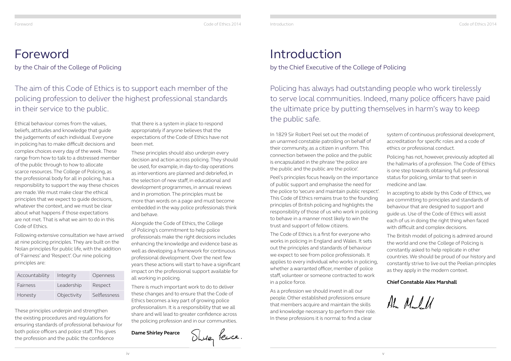<span id="page-2-0"></span>

#### Foreword Code of Ethics 2014 Introduction Code of Ethics 2014

# The aim of this Code of Ethics is to support each member of the policing profession to deliver the highest professional standards in their service to the public.

Policing has always had outstanding people who work tirelessly to serve local communities. Indeed, many police officers have paid the ultimate price by putting themselves in harm's way to keep the public safe.

# Foreword

by the Chair of the College of Policing

# Introduction

by the Chief Executive of the College of Policing

Ethical behaviour comes from the values, beliefs, attitudes and knowledge that guide the judgements of each individual. Everyone in policing has to make difficult decisions and complex choices every day of the week. These range from how to talk to a distressed member of the public through to how to allocate scarce resources. The College of Policing, as the professional body for all in policing, has a responsibility to support the way these choices are made. We must make clear the ethical principles that we expect to guide decisions, whatever the context, and we must be clear about what happens if those expectations are not met. That is what we aim to do in this Code of Ethics.

Following extensive consultation we have arrived at nine policing principles. They are built on the Nolan principles for public life, with the addition of 'Fairness' and 'Respect'. Our nine policing principles are:

These principles underpin and strengthen the existing procedures and regulations for ensuring standards of professional behaviour for both police officers and police staff. This gives the profession and the public the confidence

that there is a system in place to respond appropriately if anyone believes that the expectations of the Code of Ethics have not been met.

These principles should also underpin every decision and action across policing. They should be used, for example, in day-to-day operations as interventions are planned and debriefed, in the selection of new staff, in educational and development programmes, in annual reviews and in promotion. The principles must be more than words on a page and must become embedded in the way police professionals think and behave.

Alongside the Code of Ethics, the College of Policing's commitment to help police professionals make the right decisions includes enhancing the knowledge and evidence base as well as developing a framework for continuous professional development. Over the next few years these actions will start to have a significant impact on the professional support available for all working in policing.

There is much important work to do to deliver these changes and to ensure that the Code of Ethics becomes a key part of growing police professionalism. It is a responsibility that we all share and will lead to greater confidence across the policing profession and in our communities.

**Dame Shirley Pearce**



In 1829 Sir Robert Peel set out the model of an unarmed constable patrolling on behalf of their community, as a citizen in uniform. This connection between the police and the public is encapsulated in the phrase 'the police are the public and the public are the police'.

Peel's principles focus heavily on the importance of public support and emphasise the need for the police to 'secure and maintain public respect'. This Code of Ethics remains true to the founding principles of British policing and highlights the responsibility of those of us who work in policing to behave in a manner most likely to win the trust and support of fellow citizens.

The Code of Ethics is a first for everyone who works in policing in England and Wales. It sets out the principles and standards of behaviour we expect to see from police professionals. It applies to every individual who works in policing, whether a warranted officer, member of police staff, volunteer or someone contracted to work in a police force.

As a profession we should invest in all our people. Other established professions ensure that members acquire and maintain the skills and knowledge necessary to perform their role. In these professions it is normal to find a clear

- system of continuous professional development, accreditation for specific roles and a code of ethics or professional conduct.
- Policing has not, however, previously adopted all the hallmarks of a profession. The Code of Ethics is one step towards obtaining full professional status for policing, similar to that seen in medicine and law.
- In accepting to abide by this Code of Ethics, we are committing to principles and standards of behaviour that are designed to support and guide us. Use of the Code of Ethics will assist each of us in doing the right thing when faced with difficult and complex decisions.
- The British model of policing is admired around the world and one the College of Policing is constantly asked to help replicate in other countries. We should be proud of our history and constantly strive to live out the Peelian principles as they apply in the modern context.

### **Chief Constable Alex Marshall**

Alm Maul 11

| Accountability | Integrity   | Openness     |
|----------------|-------------|--------------|
| Fairness       | Leadership  | Respect      |
| Honesty        | Objectivity | Selflessness |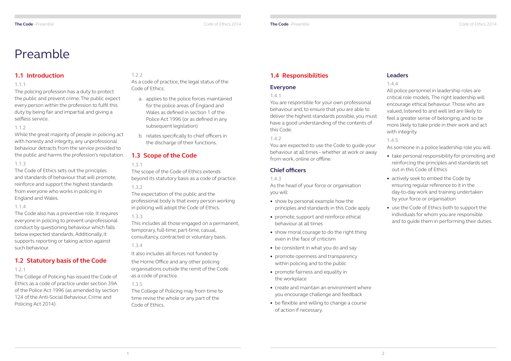## **1.1 Introduction**

#### 1.1.1

The policing profession has a duty to protect the public and prevent crime. The public expect every person within the profession to fulfil this duty by being fair and impartial and giving a selfless service.

#### 1.1.2

While the great majority of people in policing act with honesty and integrity, any unprofessional behaviour detracts from the service provided to the public and harms the profession's reputation.

#### 1.1.3

The Code of Ethics sets out the principles and standards of behaviour that will promote, reinforce and support the highest standards from everyone who works in policing in England and Wales.

#### 1.1.4

The Code also has a preventive role. It requires everyone in policing to prevent unprofessional conduct by questioning behaviour which falls below expected standards. Additionally, it supports reporting or taking action against such behaviour.

### <span id="page-3-1"></span>**1.2 Statutory basis of the Code**

#### 1.2.1

The College of Policing has issued the Code of Ethics as a code of practice under section 39A of the Police Act 1996 (as amended by section 124 of the Anti-Social Behaviour, Crime and Policing Act 2014).

#### 1.2.2

As a code of practice, the legal status of the Code of Ethics:

- a. applies to the police forces maintained for the police areas of England and Wales as defined in section 1 of the Police Act 1996 (or as defined in any subsequent legislation)
- b. relates specifically to chief officers in the discharge of their functions.

### <span id="page-3-2"></span>**1.3 Scope of the Code**

#### 1.3.1

The scope of the Code of Ethics extends beyond its statutory basis as a code of practice.

1.3.2

The expectation of the public and the professional body is that every person working in policing will adopt the Code of Ethics.

#### 1.3.3

This includes all those engaged on a permanent, temporary, full-time, part-time, casual, consultancy, contracted or voluntary basis.

1.3.4

It also includes all forces not funded by the Home Office and any other policing organisations outside the remit of the Code as a code of practice.

1.3.5

The College of Policing may from time to time revise the whole or any part of the Code of Ethics.

# <span id="page-3-0"></span>Preamble

# <span id="page-3-3"></span>**1.4 Responsibilities**

#### **Everyone**

#### 1.4.1

You are responsible for your own professional behaviour and, to ensure that you are able to deliver the highest standards possible, you must have a good understanding of the contents of this Code.

#### 1.4.2

You are expected to use the Code to guide your behaviour at all times – whether at work or away from work, online or offline.

### **Chief officers**

#### 1.4.3

As the head of your force or organisation you will:

- show by personal example how the principles and standards in this Code apply
- promote, support and reinforce ethical behaviour at all times
- show moral courage to do the right thing even in the face of criticism
- be consistent in what you do and say
- promote openness and transparency within policing and to the public
- promote fairness and equality in the workplace
- create and maintain an environment where you encourage challenge and feedback
- be flexible and willing to change a course of action if necessary.

### **Leaders**

#### 1.4.4

All police personnel in leadership roles are critical role models. The right leadership will encourage ethical behaviour. Those who are valued, listened to and well led are likely to feel a greater sense of belonging, and so be more likely to take pride in their work and act with integrity.

#### 1.4.5

As someone in a police leadership role you will:

- take personal responsibility for promoting and reinforcing the principles and standards set out in this Code of Ethics
- actively seek to embed the Code by ensuring regular reference to it in the day-to-day work and training undertaken by your force or organisation
- use the Code of Ethics both to support the individuals for whom you are responsible and to guide them in performing their duties.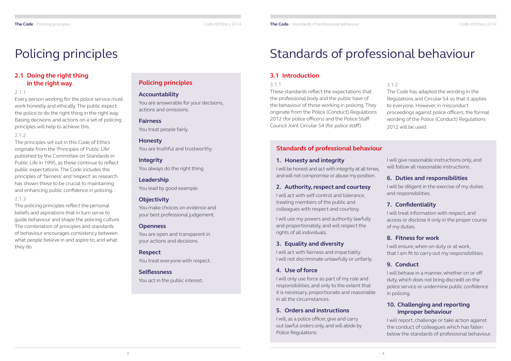# **2.1 Doing the right thing in the right way**

#### 2.1.1

Every person working for the police service must work honestly and ethically. The public expect the police to do the right thing in the right way. Basing decisions and actions on a set of policing principles will help to achieve this.

#### 2.1.2

The principles set out in this Code of Ethics originate from the 'Principles of Public Life' published by the Committee on Standards in Public Life in 1995, as these continue to reflect public expectations. The Code includes the principles of 'fairness' and 'respect' as research has shown these to be crucial to maintaining and enhancing public confidence in policing.

#### 2.1.3

The policing principles reflect the personal beliefs and aspirations that in turn serve to guide behaviour and shape the policing culture. The combination of principles and standards of behaviour encourages consistency between what people believe in and aspire to, and what they do.

# **Policing principles**

#### **Accountability**

You are answerable for your decisions, actions and omissions.

**Fairness** You treat people fairly.

**Honesty** You are truthful and trustworthy.

# **Integrity**

You always do the right thing.

**Leadership** You lead by good example.

### **Objectivity**

You make choices on evidence and your best professional judgement.

#### **Openness**

You are open and transparent in your actions and decisions.

**Respect** You treat everyone with respect.

**Selflessness** You act in the public interest.

# <span id="page-4-0"></span>Policing principles

#### **1. Honesty and integrity**

I will be honest and act with integrity at all times, and will not compromise or abuse my position.

### **2. Authority, respect and courtesy**

I will act with self-control and tolerance, treating members of the public and colleagues with respect and courtesy.

I will use my powers and authority lawfully and proportionately, and will respect the rights of all individuals.

### **3. Equality and diversity**

I will act with fairness and impartiality. I will not discriminate unlawfully or unfairly.

### **4. Use of force**

I will only use force as part of my role and responsibilities, and only to the extent that it is necessary, proportionate and reasonable in all the circumstances.

### **5. Orders and instructions**

I will, as a police officer, give and carry out lawful orders only, and will abide by Police Regulations.

## **3.1 Introduction**

#### 3.1.1

These standards reflect the expectations that the professional body and the public have of the behaviour of those working in policing. They originate from the Police (Conduct) Regulations 2012 (for police officers) and the Police Staff Council Joint Circular 54 (for police staff).

# Standards of professional behaviour

#### 3.1.2

The Code has adapted the wording in the Regulations and Circular 54 so that it applies to everyone. However, in misconduct proceedings against police officers, the formal wording of the Police (Conduct) Regulations 2012 will be used.

### **Standards of professional behaviour**

I will give reasonable instructions only, and will follow all reasonable instructions.

### **6. Duties and responsibilities**

I will be diligent in the exercise of my duties and responsibilities.

# **7. Confidentiality**

I will treat information with respect, and access or disclose it only in the proper course of my duties.

# **8. Fitness for work**

I will ensure, when on duty or at work, that I am fit to carry out my responsibilities.

# **9. Conduct**

I will behave in a manner, whether on or off duty, which does not bring discredit on the police service or undermine public confidence in policing.

### **10. Challenging and reporting improper behaviour**

I will report, challenge or take action against the conduct of colleagues which has fallen below the standards of professional behaviour.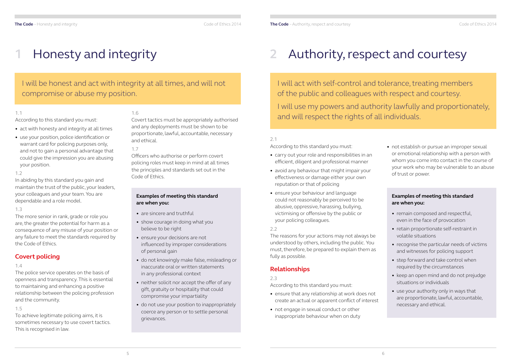# I will be honest and act with integrity at all times, and will not compromise or abuse my position.

# <span id="page-5-0"></span>**1** Honesty and integrity

#### 1.1

According to this standard you must:

- act with honesty and integrity at all times
- use your position, police identification or warrant card for policing purposes only, and not to gain a personal advantage that could give the impression you are abusing your position.

#### 1.2

In abiding by this standard you gain and maintain the trust of the public, your leaders, your colleagues and your team. You are dependable and a role model.

#### 1.3

The more senior in rank, grade or role you are, the greater the potential for harm as a consequence of any misuse of your position or any failure to meet the standards required by the Code of Ethics.

# **Covert policing**

#### 1.4

The police service operates on the basis of openness and transparency. This is essential to maintaining and enhancing a positive relationship between the policing profession and the community.

- are sincere and truthful
- show courage in doing what you believe to be right
- ensure your decisions are not influenced by improper considerations of personal gain
- do not knowingly make false, misleading or inaccurate oral or written statements in any professional context
- neither solicit nor accept the offer of any gift, gratuity or hospitality that could compromise your impartiality
- do not use your position to inappropriately coerce any person or to settle personal grievances.

### 1.5

To achieve legitimate policing aims, it is sometimes necessary to use covert tactics. This is recognised in law.

#### 1.6

Covert tactics must be appropriately authorised and any deployments must be shown to be proportionate, lawful, accountable, necessary and ethical.

#### 1.7

Officers who authorise or perform covert policing roles must keep in mind at all times the principles and standards set out in the Code of Ethics.

#### **Examples of meeting this standard are when you:**

I will act with self-control and tolerance, treating members of the public and colleagues with respect and courtesy. I will use my powers and authority lawfully and proportionately, and will respect the rights of all individuals.

# **2** Authority, respect and courtesy

#### 2.1

According to this standard you must:

- carry out your role and responsibilities in an efficient, diligent and professional manner
- avoid any behaviour that might impair your effectiveness or damage either your own reputation or that of policing
- ensure your behaviour and language could not reasonably be perceived to be abusive, oppressive, harassing, bullying, victimising or offensive by the public or your policing colleagues.

#### 2.2

The reasons for your actions may not always be understood by others, including the public. You must, therefore, be prepared to explain them as fully as possible.

# **Relationships**

2.3

According to this standard you must:

- ensure that any relationship at work does not create an actual or apparent conflict of interest
- not engage in sexual conduct or other inappropriate behaviour when on duty

#### **Examples of meeting this standard are when you:**

- remain composed and respectful, even in the face of provocation
- retain proportionate self-restraint in volatile situations
- recognise the particular needs of victims and witnesses for policing support
- step forward and take control when required by the circumstances
- keep an open mind and do not prejudge situations or individuals
- use your authority only in ways that are proportionate, lawful, accountable, necessary and ethical.

• not establish or pursue an improper sexual or emotional relationship with a person with whom you come into contact in the course of your work who may be vulnerable to an abuse of trust or power.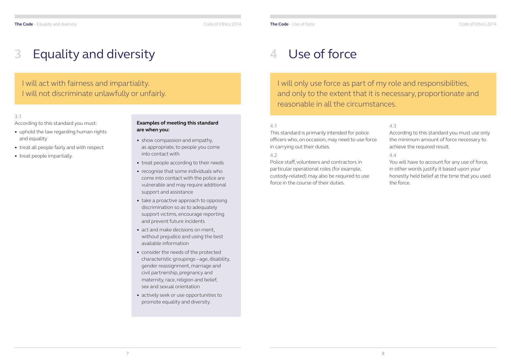I will act with fairness and impartiality. I will not discriminate unlawfully or unfairly.

# <span id="page-6-0"></span>**3** Equality and diversity

#### **Examples of meeting this standard are when you:**

- show compassion and empathy, as appropriate, to people you come into contact with
- treat people according to their needs
- recognise that some individuals who come into contact with the police are vulnerable and may require additional support and assistance
- take a proactive approach to opposing discrimination so as to adequately support victims, encourage reporting and prevent future incidents
- act and make decisions on merit, without prejudice and using the best available information
- consider the needs of the protected characteristic groupings – age, disability, gender reassignment, marriage and civil partnership, pregnancy and maternity, race, religion and belief, sex and sexual orientation
- actively seek or use opportunities to promote equality and diversity.

#### 3.1

According to this standard you must:

- uphold the law regarding human rights and equality
- treat all people fairly and with respect
- treat people impartially.

I will only use force as part of my role and responsibilities, and only to the extent that it is necessary, proportionate and reasonable in all the circumstances.

#### 4.1

This standard is primarily intended for police officers who, on occasion, may need to use force in carrying out their duties.

#### 4.2

Police staff, volunteers and contractors in particular operational roles (for example, custody-related) may also be required to use force in the course of their duties.

**The Code** – Use of force Code of Ethics 2014

# **4** Use of force

#### 4.3

According to this standard you must use only the minimum amount of force necessary to achieve the required result.

#### 4.4

You will have to account for any use of force, in other words justify it based upon your honestly held belief at the time that you used the force.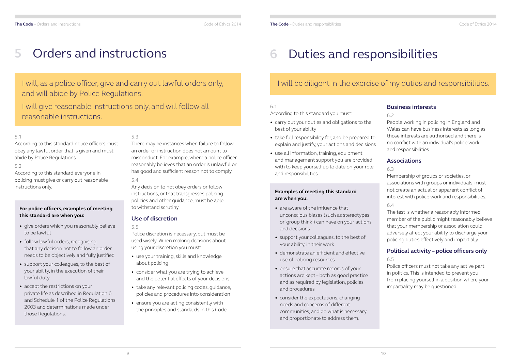I will, as a police officer, give and carry out lawful orders only, and will abide by Police Regulations.

I will give reasonable instructions only, and will follow all reasonable instructions.

#### 5.1

According to this standard police officers must obey any lawful order that is given and must abide by Police Regulations.

#### 5.2

According to this standard everyone in policing must give or carry out reasonable instructions only.

#### 5.3

There may be instances when failure to follow an order or instruction does not amount to misconduct. For example, where a police officer reasonably believes that an order is unlawful or has good and sufficient reason not to comply.

#### 5.4

Any decision to not obey orders or follow instructions, or that transgresses policing policies and other guidance, must be able to withstand scrutiny.

### **Use of discretion**

#### 5.5

Police discretion is necessary, but must be used wisely. When making decisions about using your discretion you must:

- use your training, skills and knowledge about policing
- consider what you are trying to achieve and the potential effects of your decisions
- take any relevant policing codes, guidance, policies and procedures into consideration
- ensure you are acting consistently with the principles and standards in this Code.

# <span id="page-7-0"></span>**5** Orders and instructions

#### **For police officers, examples of meeting this standard are when you:**

- give orders which you reasonably believe to be lawful
- follow lawful orders, recognising that any decision not to follow an order needs to be objectively and fully justified
- support your colleagues, to the best of your ability, in the execution of their lawful duty
- accept the restrictions on your private life as described in Regulation 6 and Schedule 1 of the Police Regulations 2003 and determinations made under those Regulations.

# I will be diligent in the exercise of my duties and responsibilities.

#### 6.1

According to this standard you must:

- carry out your duties and obligations to the best of your ability
- take full responsibility for, and be prepared to explain and justify, your actions and decisions
- use all information, training, equipment and management support you are provided with to keep yourself up to date on your role and responsibilities.

# **Business interests**

#### 6.2

People working in policing in England and Wales can have business interests as long as those interests are authorised and there is no conflict with an individual's police work and responsibilities.

### **Associations**

### 6.3

Membership of groups or societies, or associations with groups or individuals, must not create an actual or apparent conflict of interest with police work and responsibilities. 6.4

The test is whether a reasonably informed member of the public might reasonably believe that your membership or association could adversely affect your ability to discharge your policing duties effectively and impartially.

# **Political activity – police officers only**

### 6.5

Police officers must not take any active part in politics. This is intended to prevent you from placing yourself in a position where your impartiality may be questioned.

# **6** Duties and responsibilities

#### **Examples of meeting this standard are when you:**

- are aware of the influence that unconscious biases (such as stereotypes or 'group think') can have on your actions and decisions
- support your colleagues, to the best of your ability, in their work
- demonstrate an efficient and effective use of policing resources
- ensure that accurate records of your actions are kept – both as good practice and as required by legislation, policies and procedures
- consider the expectations, changing needs and concerns of different communities, and do what is necessary and proportionate to address them.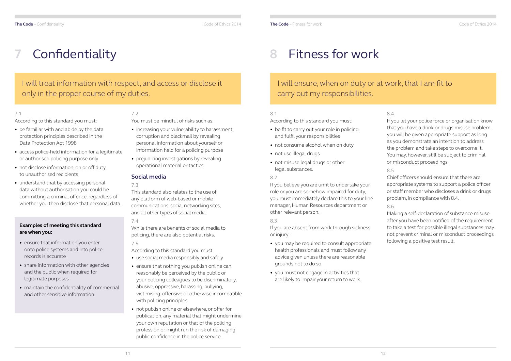# I will treat information with respect, and access or disclose it only in the proper course of my duties.

#### 7.1

According to this standard you must:

- be familiar with and abide by the data protection principles described in the Data Protection Act 1998
- access police-held information for a legitimate or authorised policing purpose only
- not disclose information, on or off duty, to unauthorised recipients
- understand that by accessing personal data without authorisation you could be committing a criminal offence, regardless of whether you then disclose that personal data.

### 7.2

You must be mindful of risks such as:

- increasing your vulnerability to harassment, corruption and blackmail by revealing personal information about yourself or information held for a policing purpose
- prejudicing investigations by revealing operational material or tactics.

### **Social media**

#### 7.3

This standard also relates to the use of any platform of web-based or mobile communications, social networking sites, and all other types of social media.

#### 7.4

While there are benefits of social media to policing, there are also potential risks.

#### 7.5

According to this standard you must:

- be fit to carry out your role in policing and fulfil your responsibilities
- not consume alcohol when on duty
- not use illegal drugs
- not misuse legal drugs or other legal substances.

- use social media responsibly and safely
- ensure that nothing you publish online can reasonably be perceived by the public or your policing colleagues to be discriminatory, abusive, oppressive, harassing, bullying, victimising, offensive or otherwise incompatible with policing principles
- not publish online or elsewhere, or offer for publication, any material that might undermine your own reputation or that of the policing profession or might run the risk of damaging public confidence in the police service.

# <span id="page-8-0"></span>**7** Confidentiality

#### **Examples of meeting this standard are when you:**

- ensure that information you enter onto police systems and into police records is accurate
- share information with other agencies and the public when required for legitimate purposes
- maintain the confidentiality of commercial and other sensitive information.

# I will ensure, when on duty or at work, that I am fit to carry out my responsibilities.

8.1

According to this standard you must:

#### 8.2

If you believe you are unfit to undertake your role or you are somehow impaired for duty, you must immediately declare this to your line manager, Human Resources department or other relevant person.

#### 8.3

If you are absent from work through sickness or injury:

- you may be required to consult appropriate health professionals and must follow any advice given unless there are reasonable grounds not to do so
- you must not engage in activities that are likely to impair your return to work.

#### 8.4

If you let your police force or organisation know that you have a drink or drugs misuse problem, you will be given appropriate support as long as you demonstrate an intention to address the problem and take steps to overcome it. You may, however, still be subject to criminal or misconduct proceedings.

### 8.5

Chief officers should ensure that there are appropriate systems to support a police officer or staff member who discloses a drink or drugs problem, in compliance with 8.4.

### 8.6

Making a self-declaration of substance misuse after you have been notified of the requirement to take a test for possible illegal substances may not prevent criminal or misconduct proceedings following a positive test result.

# **8** Fitness for work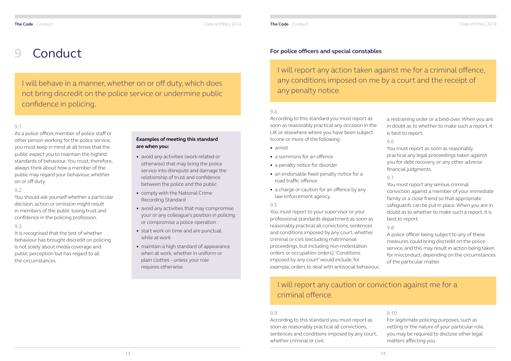I will behave in a manner, whether on or off duty, which does not bring discredit on the police service or undermine public confidence in policing.

#### 9.1

As a police officer, member of police staff or other person working for the police service, you must keep in mind at all times that the public expect you to maintain the highest standards of behaviour. You must, therefore, always think about how a member of the public may regard your behaviour, whether on or off duty.

#### 9.2

You should ask yourself whether a particular decision, action or omission might result in members of the public losing trust and confidence in the policing profession.

#### 9.3

It is recognised that the test of whether behaviour has brought discredit on policing is not solely about media coverage and public perception but has regard to all the circumstances.

# <span id="page-9-0"></span>**9** Conduct

#### **Examples of meeting this standard are when you:**

- avoid any activities (work-related or otherwise) that may bring the police service into disrepute and damage the relationship of trust and confidence between the police and the public
- comply with the National Crime Recording Standard
- avoid any activities that may compromise your or any colleague's position in policing or compromise a police operation
- start work on time and are punctual while at work
- maintain a high standard of appearance when at work, whether in uniform or plain clothes – unless your role requires otherwise.

#### 9.4

According to this standard you must report as soon as reasonably practical all convictions, sentences and conditions imposed by any court, whether criminal or civil.

According to this standard you must report as soon as reasonably practical any occasion in the UK or elsewhere where you have been subject to one or more of the following:

- arrest
- a summons for an offence
- a penalty notice for disorder
- an endorsable fixed penalty notice for a road traffic offence
- a charge or caution for an offence by any law enforcement agency.

# **For I will report any caution or conviction against me for a** criminal offence.

9.5

You must report to your supervisor or your professional standards department as soon as reasonably practical all convictions, sentences and conditions imposed by any court, whether criminal or civil (excluding matrimonial proceedings, but including non-molestation orders or occupation orders). 'Conditions imposed by any court' would include, for example, orders to deal with antisocial behaviour, a restraining order or a bind-over. When you are in doubt as to whether to make such a report, it is best to report.

#### 9.6

You must report as soon as reasonably practical any legal proceedings taken against you for debt recovery, or any other adverse financial judgments.

#### 9.7

You must report any serious criminal conviction against a member of your immediate family or a close friend so that appropriate safeguards can be put in place. When you are in doubt as to whether to make such a report, it is best to report.

#### 9.8

A police officer being subject to any of these measures could bring discredit on the police service, and this may result in action being taken for misconduct, depending on the circumstances of the particular matter.

#### **For police officers and special constables**

9.9

#### 9.10

For legitimate policing purposes, such as vetting or the nature of your particular role, you may be required to disclose other legal matters affecting you.

# I will report any action taken against me for a criminal offence,

any conditions imposed on me by a court and the receipt of any penalty notice.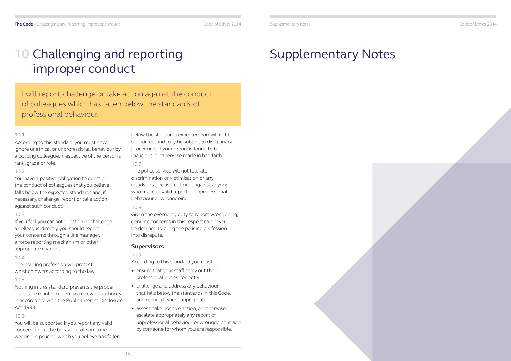#### 10.1

According to this standard you must never ignore unethical or unprofessional behaviour by a policing colleague, irrespective of the person's rank, grade or role.

#### 10.2

You have a positive obligation to question the conduct of colleagues that you believe falls below the expected standards and, if necessary, challenge, report or take action against such conduct.

#### 10.3

If you feel you cannot question or challenge a colleague directly, you should report your concerns through a line manager, a force reporting mechanism or other appropriate channel.

#### 10.4

The policing profession will protect whistleblowers according to the law.

#### 10.5

Nothing in this standard prevents the proper disclosure of information to a relevant authority in accordance with the Public Interest Disclosure Act 1998.

#### 10.6

You will be supported if you report any valid concern about the behaviour of someone working in policing which you believe has fallen below the standards expected. You will not be supported, and may be subject to disciplinary procedures, if your report is found to be malicious or otherwise made in bad faith.

#### 10.7

The police service will not tolerate discrimination or victimisation or any disadvantageous treatment against anyone who makes a valid report of unprofessional behaviour or wrongdoing.

#### 10.8

Given the overriding duty to report wrongdoing, genuine concerns in this respect can never be deemed to bring the policing profession into disrepute.

### **Supervisors**

#### 10.9

According to this standard you must:

- ensure that your staff carry out their professional duties correctly
- challenge and address any behaviour that falls below the standards in this Code, and report it where appropriate
- assess, take positive action, or otherwise escalate appropriately any report of unprofessional behaviour or wrongdoing made by someone for whom you are responsible.

# <span id="page-10-0"></span>**10** Challenging and reporting improper conduct

I will report, challenge or take action against the conduct of colleagues which has fallen below the standards of professional behaviour.

Supplementary notes Code of Ethics 2014

# Supplementary Notes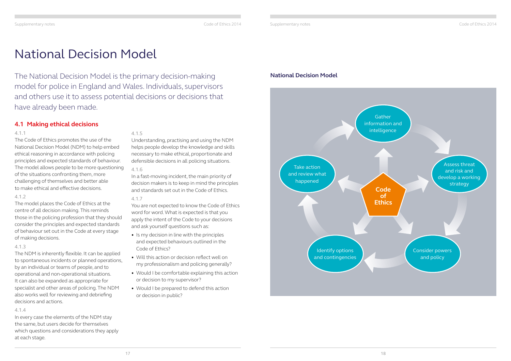

Supplementary notes Code of Ethics 2014

#### **4.1 Making ethical decisions**

#### 4.1.1

The Code of Ethics promotes the use of the National Decision Model (NDM) to help embed ethical reasoning in accordance with policing principles and expected standards of behaviour. The model allows people to be more questioning of the situations confronting them, more challenging of themselves and better able to make ethical and effective decisions.

#### 4.1.2

The model places the Code of Ethics at the centre of all decision making. This reminds those in the policing profession that they should consider the principles and expected standards of behaviour set out in the Code at every stage of making decisions.

#### 4.1.3

The NDM is inherently flexible. It can be applied to spontaneous incidents or planned operations, by an individual or teams of people, and to operational and non-operational situations. It can also be expanded as appropriate for specialist and other areas of policing. The NDM also works well for reviewing and debriefing decisions and actions.

#### 4.1.4

In every case the elements of the NDM stay the same, but users decide for themselves which questions and considerations they apply at each stage.

#### 4.1.5

Understanding, practising and using the NDM helps people develop the knowledge and skills necessary to make ethical, proportionate and defensible decisions in all policing situations.

#### 4.1.6

In a fast-moving incident, the main priority of decision makers is to keep in mind the principles and standards set out in the Code of Ethics.

#### 4.1.7

You are not expected to know the Code of Ethics word for word. What is expected is that you apply the intent of the Code to your decisions and ask yourself questions such as:

- Is my decision in line with the principles and expected behaviours outlined in the Code of Ethics?
- Will this action or decision reflect well on my professionalism and policing generally?
- Would I be comfortable explaining this action or decision to my supervisor?
- Would I be prepared to defend this action or decision in public?

The National Decision Model is the primary decision-making model for police in England and Wales. Individuals, supervisors and others use it to assess potential decisions or decisions that have already been made.

# <span id="page-11-0"></span>National Decision Model

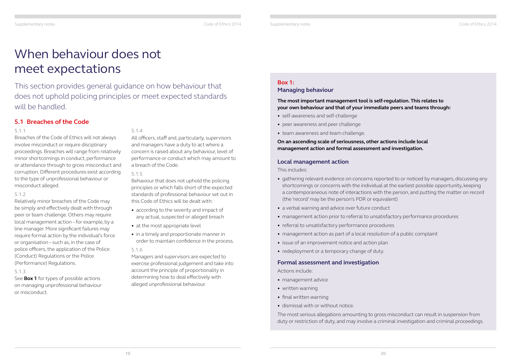### **Box 1:**

### **Managing behaviour**

#### **The most important management tool is self-regulation. This relates to your own behaviour and that of your immediate peers and teams through:**

- self-awareness and self-challenge
- peer awareness and peer challenge
- team awareness and team challenge.

#### **On an ascending scale of seriousness, other actions include local management action and formal assessment and investigation.**

#### **Local management action**

This includes:

- gathering relevant evidence on concerns reported to or noticed by managers, discussing any shortcomings or concerns with the individual at the earliest possible opportunity, keeping a contemporaneous note of interactions with the person, and putting the matter on record (the 'record' may be the person's PDR or equivalent)
- a verbal warning and advice over future conduct
- management action prior to referral to unsatisfactory performance procedures
- referral to unsatisfactory performance procedures
- management action as part of a local resolution of a public complaint
- issue of an improvement notice and action plan
- redeployment or a temporary change of duty.

#### **Formal assessment and investigation**

Actions include:

- management advice
- written warning
- final written warning
- dismissal with or without notice.

The most serious allegations amounting to gross misconduct can result in suspension from duty or restriction of duty, and may involve a criminal investigation and criminal proceedings.

### **5.1 Breaches of the Code**

#### 5.1.1

Breaches of the Code of Ethics will not always involve misconduct or require disciplinary proceedings. Breaches will range from relatively minor shortcomings in conduct, performance or attendance through to gross misconduct and corruption. Different procedures exist according to the type of unprofessional behaviour or misconduct alleged.

#### 5.1.2

Relatively minor breaches of the Code may be simply and effectively dealt with through peer or team challenge. Others may require local management action – for example, by a line manager. More significant failures may require formal action by the individual's force or organisation – such as, in the case of police officers, the application of the Police (Conduct) Regulations or the Police (Performance) Regulations.

#### 5.1.3

See **Box 1** for types of possible actions on managing unprofessional behaviour or misconduct.

#### 5.1.4

All officers, staff and, particularly, supervisors and managers have a duty to act where a concern is raised about any behaviour, level of performance or conduct which may amount to a breach of the Code.

#### 5.1.5

Behaviour that does not uphold the policing principles or which falls short of the expected standards of professional behaviour set out in this Code of Ethics will be dealt with:

- according to the severity and impact of any actual, suspected or alleged breach
- at the most appropriate level
- in a timely and proportionate manner in order to maintain confidence in the process.

#### 5.1.6

Managers and supervisors are expected to exercise professional judgement and take into account the principle of proportionality in determining how to deal effectively with alleged unprofessional behaviour.

# <span id="page-12-0"></span>When behaviour does not meet expectations

This section provides general guidance on how behaviour that does not uphold policing principles or meet expected standards will be handled.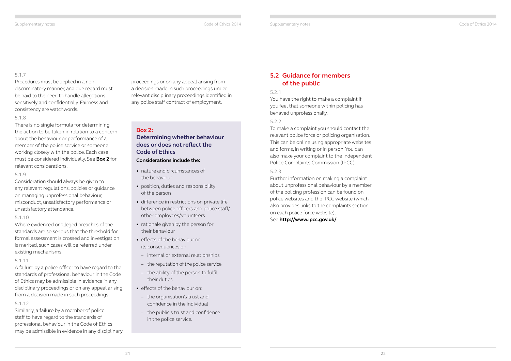### **5.2 Guidance for members of the public**

#### 5.2.1

You have the right to make a complaint if you feel that someone within policing has behaved unprofessionally.

#### 5.2.2

To make a complaint you should contact the relevant police force or policing organisation. This can be online using appropriate websites and forms, in writing or in person. You can also make your complaint to the Independent Police Complaints Commission (IPCC).

#### 5.2.3

Further information on making a complaint about unprofessional behaviour by a member of the policing profession can be found on police websites and the IPCC website (which also provides links to the complaints section on each police force website).

See **<http://www.ipcc.gov.uk/>**

Supplementary notes Code of Ethics 2014

#### <span id="page-13-0"></span>5.1.7

Procedures must be applied in a nondiscriminatory manner, and due regard must be paid to the need to handle allegations sensitively and confidentially. Fairness and consistency are watchwords.

#### 5.1.8

There is no single formula for determining the action to be taken in relation to a concern about the behaviour or performance of a member of the police service or someone working closely with the police. Each case must be considered individually. See **Box 2** for relevant considerations.

#### 5.1.9

Consideration should always be given to any relevant regulations, policies or guidance on managing unprofessional behaviour, misconduct, unsatisfactory performance or unsatisfactory attendance.

#### 5.1.10

Where evidenced or alleged breaches of the standards are so serious that the threshold for formal assessment is crossed and investigation is merited, such cases will be referred under existing mechanisms.

#### 5.1.11

A failure by a police officer to have regard to the standards of professional behaviour in the Code of Ethics may be admissible in evidence in any disciplinary proceedings or on any appeal arising from a decision made in such proceedings.

#### 5.1.12

Similarly, a failure by a member of police staff to have regard to the standards of professional behaviour in the Code of Ethics may be admissible in evidence in any disciplinary

#### **Box 2:**

### **Determining whether behaviour does or does not reflect the Code of Ethics**

#### **Considerations include the:**

- nature and circumstances of the behaviour
- position, duties and responsibility of the person
- difference in restrictions on private life between police officers and police staff/ other employees/volunteers
- rationale given by the person for their behaviour
- effects of the behaviour or its consequences on:
- internal or external relationships
- the reputation of the police service
- the ability of the person to fulfil their duties
- effects of the behaviour on:
- the organisation's trust and confidence in the individual
- the public's trust and confidence in the police service.

proceedings or on any appeal arising from a decision made in such proceedings under relevant disciplinary proceedings identified in any police staff contract of employment.